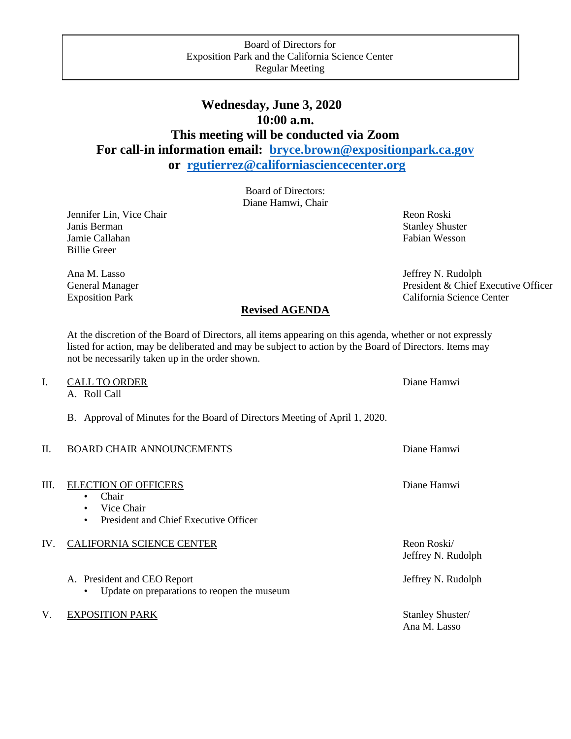## **Wednesday, June 3, 2020 10:00 a.m. This meeting will be conducted via Zoom For call-in information email: [bryce.brown@expositionpark.ca.gov](mailto:bryce.brown@expositionpark.ca.gov) or [rgutierrez@californiasciencecenter.org](mailto:rgutierrez@californiasciencecenter.org)**

Board of Directors: Diane Hamwi, Chair

Jennifer Lin, Vice Chair Revenue and The Chair Reon Roski Janis Berman Stanley Shuster Shuster Shuster Shuster Shuster Shuster Shuster Jamie Callahan Fabian Wesson Eabian Wesson Billie Greer

Ana M. Lasso Jeffrey N. Rudolph General Manager President & Chief Executive Officer Exposition Park California Science Center

At the discretion of the Board of Directors, all items appearing on this agenda, whether or not expressly listed for action, may be deliberated and may be subject to action by the Board of Directors. Items may not be necessarily taken up in the order shown.

**Revised AGENDA**

## I. CALL TO ORDER Diane Hamwi A. Roll Call B. Approval of Minutes for the Board of Directors Meeting of April 1, 2020. II. BOARD CHAIR ANNOUNCEMENTS Diane Hamwi III. ELECTION OF OFFICERS Diane Hamwi • Chair • Vice Chair • President and Chief Executive Officer IV. CALIFORNIA SCIENCE CENTER **Represents A SCIENCE CENTER** Reon Roski/ Jeffrey N. Rudolph A. President and CEO Report Jeffrey N. Rudolph • Update on preparations to reopen the museum V. EXPOSITION PARK Stanley Shuster/ Ana M. Lasso